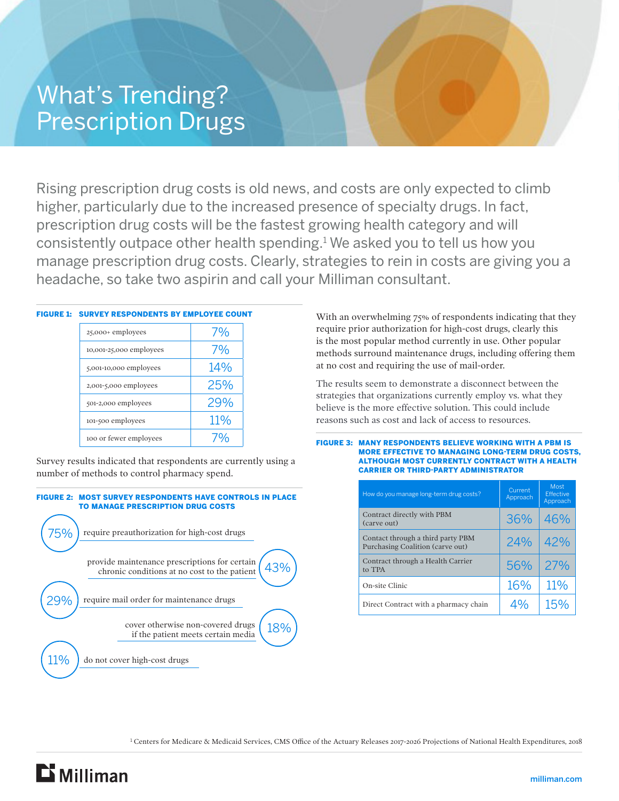## What's Trending? Prescription Drugs

Rising prescription drug costs is old news, and costs are only expected to climb higher, particularly due to the increased presence of specialty drugs. In fact, prescription drug costs will be the fastest growing health category and will consistently outpace other health spending.1 We asked you to tell us how you manage prescription drug costs. Clearly, strategies to rein in costs are giving you a headache, so take two aspirin and call your Milliman consultant.

| <b>FIGURE 1: SURVEY RESPONDENTS BY EMPLOYEE COUNT</b> |     |  |  |
|-------------------------------------------------------|-----|--|--|
| 25,000+ employees                                     | 7%  |  |  |
| 10,001-25,000 employees                               | 7%  |  |  |
| $5,001-10,000$ employees                              | 14% |  |  |
| 2,001-5,000 employees                                 | 25% |  |  |
| 501-2,000 employees                                   | 29% |  |  |
| 101-500 employees                                     | 11% |  |  |
| 100 or fewer employees                                |     |  |  |
|                                                       |     |  |  |

Survey results indicated that respondents are currently using a number of methods to control pharmacy spend.



With an overwhelming 75% of respondents indicating that they require prior authorization for high-cost drugs, clearly this is the most popular method currently in use. Other popular methods surround maintenance drugs, including offering them at no cost and requiring the use of mail-order.

The results seem to demonstrate a disconnect between the strategies that organizations currently employ vs. what they believe is the more effective solution. This could include reasons such as cost and lack of access to resources.

## FIGURE 3: MANY RESPONDENTS BELIEVE WORKING WITH A PBM IS MORE EFFECTIVE TO MANAGING LONG-TERM DRUG COSTS, ALTHOUGH MOST CURRENTLY CONTRACT WITH A HEALTH CARRIER OR THIRD-PARTY ADMINISTRATOR

| How do you manage long-term drug costs?                               | Current<br>Approach | Most<br><b>Effective</b><br>Approach |
|-----------------------------------------------------------------------|---------------------|--------------------------------------|
| Contract directly with PBM<br>(carve out)                             | 36%                 | 46%                                  |
| Contact through a third party PBM<br>Purchasing Coalition (carve out) | 24%                 | 42%                                  |
| Contract through a Health Carrier<br>to TPA                           | 56%                 | 27%                                  |
| On-site Clinic                                                        | 16%                 | 11%                                  |
| Direct Contract with a pharmacy chain                                 | ∆‱                  | 15%                                  |

<sup>1</sup> Centers for Medicare & Medicaid Services, CMS Office of the Actuary Releases 2017-2026 Projections of National Health Expenditures, 2018

 $\mathbf{D}$  Milliman